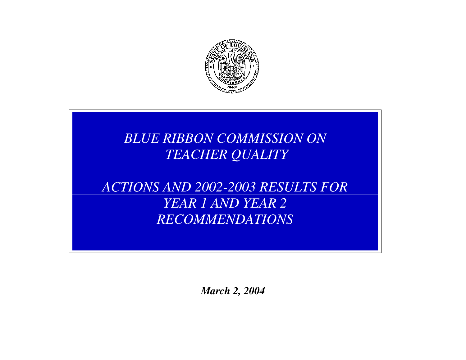

# *BLUE RIBBON COMMISSION ON TEACHER QUALITY*

*ACTIONS AND 2002-2003 RESULTS FOR YEAR 1 AND YEAR 2 RECOMMENDATIONS* 

*March 2, 2004*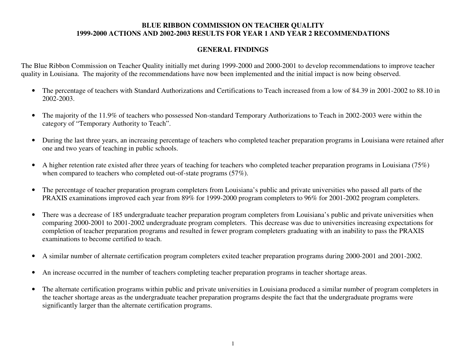# **GENERAL FINDINGS**

The Blue Ribbon Commission on Teacher Quality initially met during 1999-2000 and 2000-2001 to develop recommendations to improve teacher quality in Louisiana. The majority of the recommendations have now been implemented and the initial impact is now being observed.

- The percentage of teachers with Standard Authorizations and Certifications to Teach increased from a low of 84.39 in 2001-2002 to 88.10 in 2002-2003.
- $\bullet$  The majority of the 11.9% of teachers who possessed Non-standard Temporary Authorizations to Teach in 2002-2003 were within the category of "Temporary Authority to Teach".
- $\bullet$  During the last three years, an increasing percentage of teachers who completed teacher preparation programs in Louisiana were retained after one and two years of teaching in public schools.
- $\bullet$  A higher retention rate existed after three years of teaching for teachers who completed teacher preparation programs in Louisiana (75%) when compared to teachers who completed out-of-state programs (57%).
- • The percentage of teacher preparation program completers from Louisiana's public and private universities who passed all parts of the PRAXIS examinations improved each year from 89% for 1999-2000 program completers to 96% for 2001-2002 program completers.
- $\bullet$  There was a decrease of 185 undergraduate teacher preparation program completers from Louisiana's public and private universities when comparing 2000-2001 to 2001-2002 undergraduate program completers. This decrease was due to universities increasing expectations for completion of teacher preparation programs and resulted in fewer program completers graduating with an inability to pass the PRAXIS examinations to become certified to teach.
- $\bullet$ A similar number of alternate certification program completers exited teacher preparation programs during 2000-2001 and 2001-2002.
- $\bullet$ An increase occurred in the number of teachers completing teacher preparation programs in teacher shortage areas.
- $\bullet$  The alternate certification programs within public and private universities in Louisiana produced a similar number of program completers in the teacher shortage areas as the undergraduate teacher preparation programs despite the fact that the undergraduate programs were significantly larger than the alternate certification programs.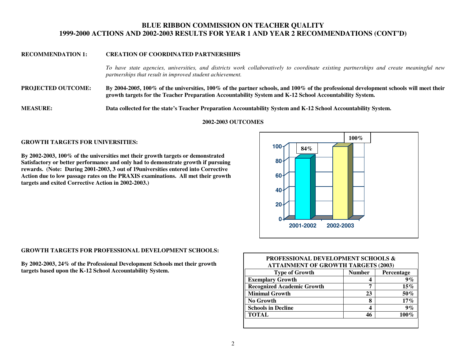#### **RECOMMENDATION 1: CREATION OF COORDINATED PARTNERSHIPS**

*To have state agencies, universities, and districts work collaboratively to coordinate existing partnerships and create meaningful new partnerships that result in improved student achievement.* 

**PROJECTED OUTCOME: By 2004-2005, 100% of the universities, 100% of the partner schools, and 100% of the professional development schools will meet their growth targets for the Teacher Preparation Accountability System and K-12 School Accountability System.** 

**MEASURE: Data collected for the state's Teacher Preparation Accountability System and K-12 School Accountability System.** 

**2002-2003 OUTCOMES** 

#### **GROWTH TARGETS FOR UNIVERSITIES:**

**By 2002-2003, 100% of the universities met their growth targets or demonstrated Satisfactory or better performance and only had to demonstrate growth if pursuing rewards. (Note: During 2001-2003, 3 out of 19universities entered into Corrective Action due to low passage rates on the PRAXIS examinations. All met their growth targets and exited Corrective Action in 2002-2003.)**



#### **GROWTH TARGETS FOR PROFESSIONAL DEVELOPMENT SCHOOLS:**

**By 2002-2003, 24% of the Professional Development Schools met their growth o**<br> **targets based upon the K-12 School Accountability System.<br>
<b>targets based upon the K-12 School Accountability System.** 

| <b>PROFESSIONAL DEVELOPMENT SCHOOLS &amp;</b><br><b>ATTAINMENT OF GROWTH TARGETS (2003)</b> |               |            |
|---------------------------------------------------------------------------------------------|---------------|------------|
| <b>Type of Growth</b>                                                                       | <b>Number</b> | Percentage |
| <b>Exemplary Growth</b>                                                                     | 4             | 9%         |
| <b>Recognized Academic Growth</b>                                                           | 7             | $15\%$     |
| <b>Minimal Growth</b>                                                                       | 23            | $50\%$     |
| No Growth                                                                                   | 8             | $17\%$     |
| <b>Schools in Decline</b>                                                                   | 4             | $9\%$      |
| <b>TOTAL</b>                                                                                | 46            | $100\%$    |
|                                                                                             |               |            |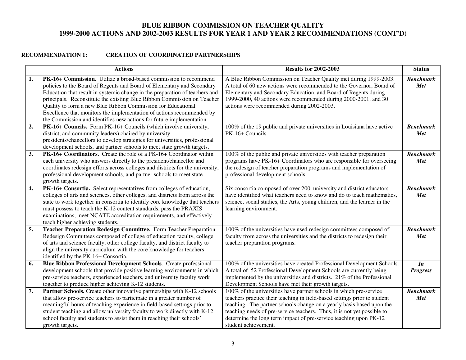## **RECOMMENDATION 1: CREATION OF COORDINATED PARTNERSHIPS**

|    | <b>Actions</b>                                                                                                                                                                                                                                                                                                                                                                                                                                                                                                       | <b>Results for 2002-2003</b>                                                                                                                                                                                                                                                                                                                                                                     | <b>Status</b>           |
|----|----------------------------------------------------------------------------------------------------------------------------------------------------------------------------------------------------------------------------------------------------------------------------------------------------------------------------------------------------------------------------------------------------------------------------------------------------------------------------------------------------------------------|--------------------------------------------------------------------------------------------------------------------------------------------------------------------------------------------------------------------------------------------------------------------------------------------------------------------------------------------------------------------------------------------------|-------------------------|
| 1. | PK-16+ Commission. Utilize a broad-based commission to recommend<br>policies to the Board of Regents and Board of Elementary and Secondary<br>Education that result in systemic change in the preparation of teachers and<br>principals. Reconstitute the existing Blue Ribbon Commission on Teacher<br>Quality to form a new Blue Ribbon Commission for Educational<br>Excellence that monitors the implementation of actions recommended by<br>the Commission and identifies new actions for future implementation | A Blue Ribbon Commission on Teacher Quality met during 1999-2003.<br>A total of 60 new actions were recommended to the Governor, Board of<br>Elementary and Secondary Education, and Board of Regents during<br>1999-2000, 40 actions were recommended during 2000-2001, and 30<br>actions were recommended during 2002-2003.                                                                    | <b>Benchmark</b><br>Met |
| 2. | PK-16+ Councils. Form PK-16+ Councils (which involve university,<br>district, and community leaders) chaired by university<br>presidents/chancellors to develop strategies for universities, professional<br>development schools, and partner schools to meet state growth targets.                                                                                                                                                                                                                                  | 100% of the 19 public and private universities in Louisiana have active<br>PK-16+ Councils.                                                                                                                                                                                                                                                                                                      | <b>Benchmark</b><br>Met |
| 3. | PK-16+ Coordinators. Create the role of a PK-16+ Coordinator within<br>each university who answers directly to the president/chancellor and<br>coordinates redesign efforts across colleges and districts for the university,<br>professional development schools, and partner schools to meet state<br>growth targets.                                                                                                                                                                                              | 100% of the public and private universities with teacher preparation<br>programs have PK-16+ Coordinators who are responsible for overseeing<br>the redesign of teacher preparation programs and implementation of<br>professional development schools.                                                                                                                                          | <b>Benchmark</b><br>Met |
| 4. | PK-16+ Consortia. Select representatives from colleges of education,<br>colleges of arts and sciences, other colleges, and districts from across the<br>state to work together in consortia to identify core knowledge that teachers<br>must possess to teach the K-12 content standards, pass the PRAXIS<br>examinations, meet NCATE accreditation requirements, and effectively<br>teach higher achieving students.                                                                                                | Six consortia composed of over 200 university and district educators<br>have identified what teachers need to know and do to teach mathematics,<br>science, social studies, the Arts, young children, and the learner in the<br>learning environment.                                                                                                                                            | <b>Benchmark</b><br>Met |
| 5. | Teacher Preparation Redesign Committee. Form Teacher Preparation<br>Redesign Committees composed of college of education faculty, college<br>of arts and science faculty, other college faculty, and district faculty to<br>align the university curriculum with the core knowledge for teachers<br>identified by the PK-16+ Consortia.                                                                                                                                                                              | 100% of the universities have used redesign committees composed of<br>faculty from across the universities and the districts to redesign their<br>teacher preparation programs.                                                                                                                                                                                                                  | <b>Benchmark</b><br>Met |
| 6. | Blue Ribbon Professional Development Schools. Create professional<br>development schools that provide positive learning environments in which<br>pre-service teachers, experienced teachers, and university faculty work<br>together to produce higher achieving K-12 students.                                                                                                                                                                                                                                      | 100% of the universities have created Professional Development Schools.<br>A total of 52 Professional Development Schools are currently being<br>implemented by the universities and districts. 21% of the Professional<br>Development Schools have met their growth targets.                                                                                                                    | In<br><b>Progress</b>   |
| 7. | Partner Schools. Create other innovative partnerships with K-12 schools<br>that allow pre-service teachers to participate in a greater number of<br>meaningful hours of teaching experience in field-based settings prior to<br>student teaching and allow university faculty to work directly with K-12<br>school faculty and students to assist them in reaching their schools'<br>growth targets.                                                                                                                 | 100% of the universities have partner schools in which pre-service<br>teachers practice their teaching in field-based settings prior to student<br>teaching. The partner schools change on a yearly basis based upon the<br>teaching needs of pre-service teachers. Thus, it is not yet possible to<br>determine the long term impact of pre-service teaching upon PK-12<br>student achievement. | <b>Benchmark</b><br>Met |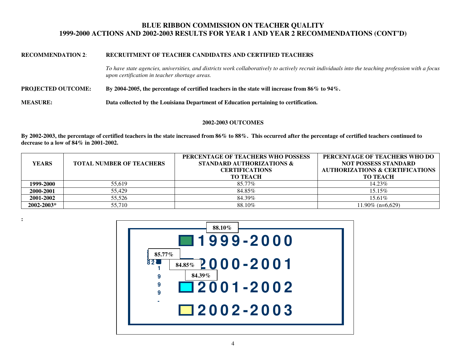#### **RECOMMENDATION 2**: **RECRUITMENT OF TEACHER CANDIDATES AND CERTIFIED TEACHERS**

*To have state agencies, universities, and districts work collaboratively to actively recruit individuals into the teaching profession with a focus upon certification in teacher shortage areas.* 

**PROJECTED OUTCOME: By 2004-2005, the percentage of certified teachers in the state will increase from 86% to 94%.** 

**MEASURE: Data collected by the Louisiana Department of Education pertaining to certification.** 

#### **2002-2003 OUTCOMES**

**By 2002-2003, the percentage of certified teachers in the state increased from 86% to 88%. This occurred after the percentage of certified teachers continued to decrease to a low of 84% in 2001-2002.** 

| <b>YEARS</b> | <b>TOTAL NUMBER OF TEACHERS</b> | PERCENTAGE OF TEACHERS WHO POSSESS<br><b>STANDARD AUTHORIZATIONS &amp;</b><br><b>CERTIFICATIONS</b><br><b>TO TEACH</b> | PERCENTAGE OF TEACHERS WHO DO<br><b>NOT POSSESS STANDARD</b><br><b>AUTHORIZATIONS &amp; CERTIFICATIONS</b><br><b>TO TEACH</b> |
|--------------|---------------------------------|------------------------------------------------------------------------------------------------------------------------|-------------------------------------------------------------------------------------------------------------------------------|
| 1999-2000    | 55.619                          | 85.77%                                                                                                                 | 14.23%                                                                                                                        |
| 2000-2001    | 55.429                          | 84.85%                                                                                                                 | $15.15\%$                                                                                                                     |
| 2001-2002    | 55.526                          | 84.39%                                                                                                                 | 15.61%                                                                                                                        |
| 2002-2003*   | 55,710                          | 88.10%                                                                                                                 | $11.90\%$ (n=6.629)                                                                                                           |

**:**

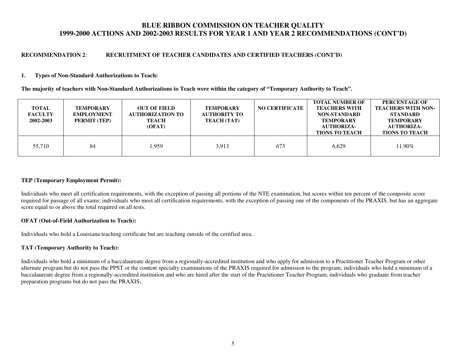#### **RECOMMENDATION 2**: **RECRUITMENT OF TEACHER CANDIDATES AND CERTIFIED TEACHERS (CONT'D)**

#### **1. Types of Non-Standard Authorizations to Teach:**

**The majority of teachers with Non-Standard Authorizations to Teach were within the category of "Temporary Authority to Teach".** 

| <b>TOTAL</b><br><b>FACULTY</b><br>2002-2003 | <b>TEMPORARY</b><br><b>EMPLOYMENT</b><br>PERMIT (TEP) | <b>OUT OF FIELD</b><br><b>AUTHORIZATION TO</b><br><b>TEACH</b><br>(OFAT) | <b>TEMPORARY</b><br>AUTHORITY TO<br><b>TEACH (TAT)</b> | <b>NO CERTIFICATE</b> | <b>TOTAL NUMBER OF</b><br><b>TEACHERS WITH</b><br><b>NON-STANDARD</b><br><b>TEMPORARY</b><br><b>AUTHORIZA-</b><br><b>TIONS TO TEACH</b> | PERCENTAGE OF<br><b>TEACHERS WITH NON-</b><br><b>STANDARD</b><br><b>TEMPORARY</b><br><b>AUTHORIZA-</b><br><b>TIONS TO TEACH</b> |
|---------------------------------------------|-------------------------------------------------------|--------------------------------------------------------------------------|--------------------------------------------------------|-----------------------|-----------------------------------------------------------------------------------------------------------------------------------------|---------------------------------------------------------------------------------------------------------------------------------|
| 55,710                                      | 84                                                    | 1,959                                                                    | 3,913                                                  | 673                   | 6.629                                                                                                                                   | 11.90%                                                                                                                          |

#### **TEP (Temporary Employment Permit):**

Individuals who meet all certification requirements, with the exception of passing all portions of the NTE examination, but scores within ten percent of the composite score required for passage of all exams; individuals who meet all certification requirements, with the exception of passing one of the components of the PRAXIS, but has an aggregate score equal to or above the total required on all tests.

#### **OFAT (Out-of-Field Authorization to Teach):**

Individuals who hold a Louisiana teaching certificate but are teaching outside of the certified area.

#### **TAT (Temporary Authority to Teach):**

Individuals who hold a minimum of a baccalaureate degree from a regionally-accredited institution and who apply for admission to a Practitioner Teacher Program or other alternate program but do not pass the PPST or the content specialty examinations of the PRAXIS required for admission to the program; individuals who hold a minimum of a baccalaureate degree from a regionally-accredited institution and who are hired after the start of the Practitioner Teacher Program; individuals who graduate from teacher preparation programs but do not pass the PRAXIS;.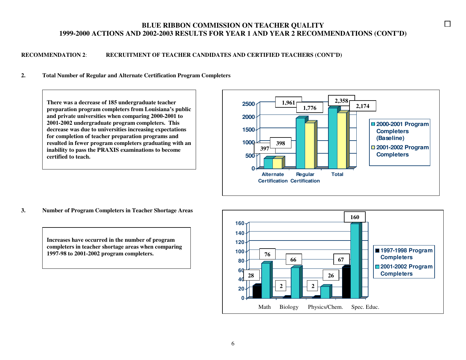#### **RECOMMENDATION 2**: **RECRUITMENT OF TEACHER CANDIDATES AND CERTIFIED TEACHERS (CONT'D)**

#### **2. Total Number of Regular and Alternate Certification Program Completers**

**There was a decrease of 185 undergraduate teacher preparation program completers from Louisiana's public and private universities when comparing 2000-2001 to 2001-2002 undergraduate program completers. This decrease was due to universities increasing expectations for completion of teacher preparation programs and resulted in fewer program completers graduating with an inability to pass the PRAXIS examinations to becomecertified to teach.** 



 $\Box$ 

**3. Number of Program Completers in Teacher Shortage Areas** 

**Increases have occurred in the number of program completers in teacher shortage areas when comparing1997-98 to 2001-2002 program completers.** 

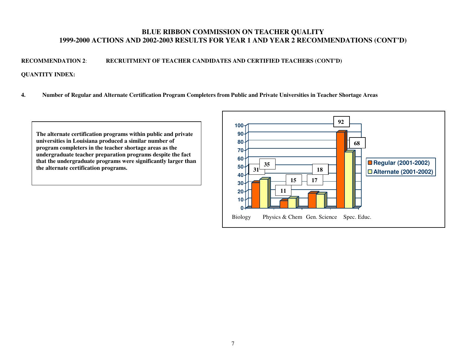## **RECOMMENDATION 2**: **RECRUITMENT OF TEACHER CANDIDATES AND CERTIFIED TEACHERS (CONT'D)**

#### **QUANTITY INDEX:**

**4. Number of Regular and Alternate Certification Program Completers from Public and Private Universities in Teacher Shortage Areas** 

**The alternate certification programs within public and private universities in Louisiana produced a similar number of program completers in the teacher shortage areas as the undergraduate teacher preparation programs despite the fact that the undergraduate programs were significantly larger than the alternate certification programs.31 31 31** 

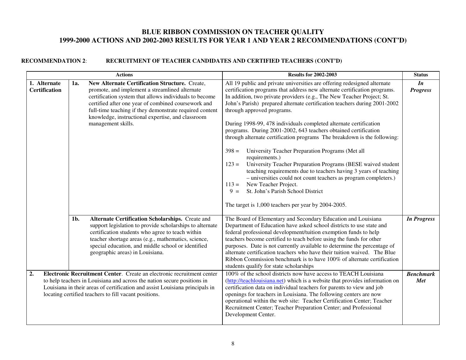|                                      |        | <b>Actions</b>                                                                                                                                                                                                                                                                                                                                          | <b>Results for 2002-2003</b>                                                                                                                                                                                                                                                                                                                                                                                                                                                                                                                                                                                                                                                                                                                                                                                                                                                                                                                                                                              | <b>Status</b>           |
|--------------------------------------|--------|---------------------------------------------------------------------------------------------------------------------------------------------------------------------------------------------------------------------------------------------------------------------------------------------------------------------------------------------------------|-----------------------------------------------------------------------------------------------------------------------------------------------------------------------------------------------------------------------------------------------------------------------------------------------------------------------------------------------------------------------------------------------------------------------------------------------------------------------------------------------------------------------------------------------------------------------------------------------------------------------------------------------------------------------------------------------------------------------------------------------------------------------------------------------------------------------------------------------------------------------------------------------------------------------------------------------------------------------------------------------------------|-------------------------|
| 1. Alternate<br><b>Certification</b> | 1a.    | New Alternate Certification Structure. Create,<br>promote, and implement a streamlined alternate<br>certification system that allows individuals to become<br>certified after one year of combined coursework and<br>full-time teaching if they demonstrate required content<br>knowledge, instructional expertise, and classroom<br>management skills. | All 19 public and private universities are offering redesigned alternate<br>certification programs that address new alternate certification programs.<br>In addition, two private providers (e.g., The New Teacher Project; St.<br>John's Parish) prepared alternate certification teachers during 2001-2002<br>through approved programs.<br>During 1998-99, 478 individuals completed alternate certification<br>programs. During 2001-2002, 643 teachers obtained certification<br>through alternate certification programs The breakdown is the following:<br>University Teacher Preparation Programs (Met all<br>$398 =$<br>requirements.)<br>University Teacher Preparation Programs (BESE waived student<br>$123 =$<br>teaching requirements due to teachers having 3 years of teaching<br>- universities could not count teachers as program completers.)<br>New Teacher Project.<br>$113 =$<br>St. John's Parish School District<br>$9 =$<br>The target is 1,000 teachers per year by 2004-2005. | In<br><b>Progress</b>   |
|                                      | $1b$ . | Alternate Certification Scholarships. Create and<br>support legislation to provide scholarships to alternate<br>certification students who agree to teach within<br>teacher shortage areas (e.g., mathematics, science,<br>special education, and middle school or identified<br>geographic areas) in Louisiana.                                        | The Board of Elementary and Secondary Education and Louisiana<br>Department of Education have asked school districts to use state and<br>federal professional development/tuition exemption funds to help<br>teachers become certified to teach before using the funds for other<br>purposes. Date is not currently available to determine the percentage of<br>alternate certification teachers who have their tuition waived. The Blue<br>Ribbon Commission benchmark is to have 100% of alternate certification<br>students qualify for state scholarships                                                                                                                                                                                                                                                                                                                                                                                                                                             | <b>In Progress</b>      |
| 2.                                   |        | Electronic Recruitment Center. Create an electronic recruitment center<br>to help teachers in Louisiana and across the nation secure positions in<br>Louisiana in their areas of certification and assist Louisiana principals in<br>locating certified teachers to fill vacant positions.                                                              | 100% of the school districts now have access to TEACH Louisiana<br>(http://teachlouisiana.net) which is a website that provides information on<br>certification data on individual teachers for parents to view and job<br>openings for teachers in Louisiana. The following centers are now<br>operational within the web site: Teacher Certification Center; Teacher<br>Recruitment Center; Teacher Preparation Center; and Professional<br>Development Center.                                                                                                                                                                                                                                                                                                                                                                                                                                                                                                                                         | <b>Benchmark</b><br>Met |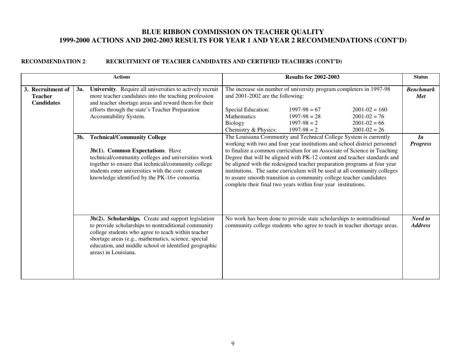|                                                          |     | <b>Actions</b>                                                                                                                                                                                                                                                                                           | <b>Results for 2002-2003</b>                                                                                                                                                                                                                                                                                                                                                                                                                                                                                                                                                                          | <b>Status</b>                  |
|----------------------------------------------------------|-----|----------------------------------------------------------------------------------------------------------------------------------------------------------------------------------------------------------------------------------------------------------------------------------------------------------|-------------------------------------------------------------------------------------------------------------------------------------------------------------------------------------------------------------------------------------------------------------------------------------------------------------------------------------------------------------------------------------------------------------------------------------------------------------------------------------------------------------------------------------------------------------------------------------------------------|--------------------------------|
| 3. Recruitment of<br><b>Teacher</b><br><b>Candidates</b> | 3a. | University. Require all universities to actively recruit<br>more teacher candidates into the teaching profession<br>and teacher shortage areas and reward them for their<br>efforts through the state's Teacher Preparation<br>Accountability System.                                                    | The increase sin number of university program completers in 1997-98<br>and 2001-2002 are the following:<br>Special Education:<br>$1997-98=67$<br>$2001 - 02 = 160$<br><b>Mathematics</b><br>$1997-98 = 28$<br>$2001 - 02 = 76$<br>$1997-98=2$<br>Biology<br>$2001 - 02 = 66$<br>Chemistry & Physics:<br>$1997-98=2$<br>$2001 - 02 = 26$                                                                                                                                                                                                                                                               | <b>Benchmark</b><br><b>Met</b> |
|                                                          | 3b. | <b>Technical/Community College</b><br>3b(1). Common Expectations. Have<br>technical/community colleges and universities work<br>together to ensure that technical/community college<br>students enter universities with the core content<br>knowledge identified by the PK-16+ consortia.                | The Louisiana Community and Technical College System is currently<br>working with two and four year institutions and school district personnel<br>to finalize a common curriculum for an Associate of Science in Teaching<br>Degree that will be aligned with PK-12 content and teacher standards and<br>be aligned with the redesigned teacher preparation programs at four year<br>institutions. The same curriculum will be used at all community colleges<br>to assure smooth transition as community college teacher candidates<br>complete their final two years within four year institutions. | In<br><b>Progress</b>          |
|                                                          |     | 3b(2). Scholarships. Create and support legislation<br>to provide scholarships to nontraditional community<br>college students who agree to teach within teacher<br>shortage areas (e.g., mathematics, science, special<br>education, and middle school or identified geographic<br>areas) in Louisiana. | No work has been done to provide state scholarships to nontraditional<br>community college students who agree to teach in teacher shortage areas.                                                                                                                                                                                                                                                                                                                                                                                                                                                     | Need to<br><b>Address</b>      |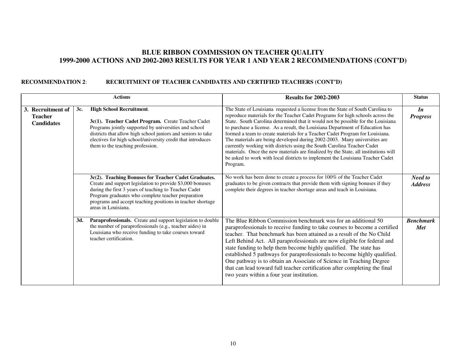|                                                          |     | <b>Actions</b>                                                                                                                                                                                                                                                                                                        | <b>Results for 2002-2003</b>                                                                                                                                                                                                                                                                                                                                                                                                                                                                                                                                                                                                                                                                                                                                       | <b>Status</b>                  |
|----------------------------------------------------------|-----|-----------------------------------------------------------------------------------------------------------------------------------------------------------------------------------------------------------------------------------------------------------------------------------------------------------------------|--------------------------------------------------------------------------------------------------------------------------------------------------------------------------------------------------------------------------------------------------------------------------------------------------------------------------------------------------------------------------------------------------------------------------------------------------------------------------------------------------------------------------------------------------------------------------------------------------------------------------------------------------------------------------------------------------------------------------------------------------------------------|--------------------------------|
| 3. Recruitment of<br><b>Teacher</b><br><b>Candidates</b> | 3c. | <b>High School Recruitment.</b><br>3c(1). Teacher Cadet Program. Create Teacher Cadet<br>Programs jointly supported by universities and school<br>districts that allow high school juniors and seniors to take<br>electives for high school/university credit that introduces<br>them to the teaching profession.     | The State of Louisiana requested a license from the State of South Carolina to<br>reproduce materials for the Teacher Cadet Programs for high schools across the<br>State. South Carolina determined that it would not be possible for the Louisiana<br>to purchase a license. As a result, the Louisiana Department of Education has<br>formed a team to create materials for a Teacher Cadet Program for Louisiana.<br>The materials are being developed during 2002-2003. Many universities are<br>currently working with districts using the South Carolina Teacher Cadet<br>materials. Once the new materials are finalized by the State, all institutions will<br>be asked to work with local districts to implement the Louisiana Teacher Cadet<br>Program. | In<br><b>Progress</b>          |
|                                                          |     | 3c(2). Teaching Bonuses for Teacher Cadet Graduates.<br>Create and support legislation to provide \$3,000 bonuses<br>during the first 3 years of teaching to Teacher Cadet<br>Program graduates who complete teacher preparation<br>programs and accept teaching positions in teacher shortage<br>areas in Louisiana. | No work has been done to create a process for 100% of the Teacher Cadet<br>graduates to be given contracts that provide them with signing bonuses if they<br>complete their degrees in teacher shortage areas and teach in Louisiana.                                                                                                                                                                                                                                                                                                                                                                                                                                                                                                                              | Need to<br><b>Address</b>      |
|                                                          | 3d. | Paraprofessionals. Create and support legislation to double<br>the number of paraprofessionals (e.g., teacher aides) in<br>Louisiana who receive funding to take courses toward<br>teacher certification.                                                                                                             | The Blue Ribbon Commission benchmark was for an additional 50<br>paraprofessionals to receive funding to take courses to become a certified<br>teacher. That benchmark has been attained as a result of the No Child<br>Left Behind Act. All paraprofessionals are now eligible for federal and<br>state funding to help them become highly qualified. The state has<br>established 5 pathways for paraprofessionals to become highly qualified.<br>One pathway is to obtain an Associate of Science in Teaching Degree<br>that can lead toward full teacher certification after completing the final<br>two years within a four year institution.                                                                                                                 | <b>Benchmark</b><br><b>Met</b> |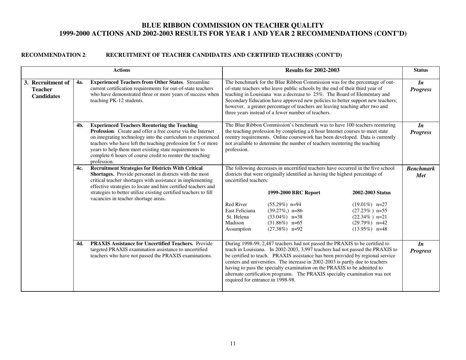|                                                          |            | <b>Actions</b>                                                                                                                                                                                                                                                                                                                                                                                  |                                                                                                    | <b>Results for 2002-2003</b>                                                                                                                                                                                                                                                                                                                                                                                                                                                              |                                                                                                                      | <b>Status</b>                   |
|----------------------------------------------------------|------------|-------------------------------------------------------------------------------------------------------------------------------------------------------------------------------------------------------------------------------------------------------------------------------------------------------------------------------------------------------------------------------------------------|----------------------------------------------------------------------------------------------------|-------------------------------------------------------------------------------------------------------------------------------------------------------------------------------------------------------------------------------------------------------------------------------------------------------------------------------------------------------------------------------------------------------------------------------------------------------------------------------------------|----------------------------------------------------------------------------------------------------------------------|---------------------------------|
| 3. Recruitment of<br><b>Teacher</b><br><b>Candidates</b> | <b>4a.</b> | <b>Experienced Teachers from Other States.</b> Streamline<br>current certification requirements for out-of-state teachers<br>who have demonstrated three or more years of success when<br>teaching PK-12 students.                                                                                                                                                                              |                                                                                                    | The benchmark for the Blue Ribbon Commission was for the percentage of out-<br>of-state teachers who leave public schools by the end of their third year of<br>teaching in Louisiana was a decrease to 25%. The Board of Elementary and<br>Secondary Education have approved new policies to better support new teachers;<br>however, a greater percentage of teachers are leaving teaching after two and<br>three years instead of a fewer number of teachers.                           |                                                                                                                      | $\mathbf{I}$<br><b>Progress</b> |
|                                                          | 4b.        | <b>Experienced Teachers Reentering the Teaching</b><br><b>Profession.</b> Create and offer a free course via the Internet<br>on integrating technology into the curriculum to experienced<br>teachers who have left the teaching profession for 5 or more<br>years to help them meet existing state requirements to<br>complete 6 hours of course credit to reenter the teaching<br>profession. | profession.                                                                                        | The Blue Ribbon Commission's benchmark was to have 100 teachers reentering<br>the teaching profession by completing a 6 hour Internet courses to meet state<br>reentry requirements. Online coursework has been developed. Data is currently<br>not available to determine the number of teachers reentering the teaching                                                                                                                                                                 |                                                                                                                      | $\mathbf{I}$<br><b>Progress</b> |
|                                                          | 4c.        | <b>Recruitment Strategies for Districts With Critical</b><br><b>Shortages.</b> Provide personnel in districts with the most<br>critical teacher shortages with assistance in implementing<br>effective strategies to locate and hire certified teachers and<br>strategies to better utilize existing certified teachers to fill<br>vacancies in teacher shortage areas.                         | uncertified teachers:<br><b>Red River</b><br>East Feliciana<br>St. Helena<br>Madison<br>Assumption | The following decreases in uncertified teachers have occurred in the five school<br>districts that were originally identified as having the highest percentage of<br>1999-2000 BRC Report<br>$(55.29\%)$ n=94<br>$(39.27\%)$ n=86<br>$(33.04\%)$ n=38<br>$(31.86\%)$ n=65<br>$(27.38\%)$ n=92                                                                                                                                                                                             | 2002-2003 Status<br>$(19.01\%)$ n=27<br>$(27.23\%)$ n=55<br>$(22.34\%)$ n=21<br>$(29.79\%)$ n=42<br>$(13.95\%)$ n=48 | <b>Benchmark</b><br><b>Met</b>  |
|                                                          | 4d.        | <b>PRAXIS Assistance for Uncertified Teachers.</b> Provide<br>targeted PRAXIS examination assistance to uncertified<br>teachers who have not passed the PRAXIS examinations.                                                                                                                                                                                                                    | required for entrance in 1998-98.                                                                  | During 1998-99, 2,487 teachers had not passed the PRAXIS to be certified to<br>teach in Louisiana. In 2002-2003, 3,997 teachers had not passed the PRAXIS to<br>be certified to teach. PRAXIS assistance has been provided by regional service<br>centers and universities. The increase in 2002-2003 is partly due to teachers<br>having to pass the specialty examination on the PRAXIS to be admitted to<br>alternate certification programs. The PRAXIS specialty examination was not |                                                                                                                      | In<br><b>Progress</b>           |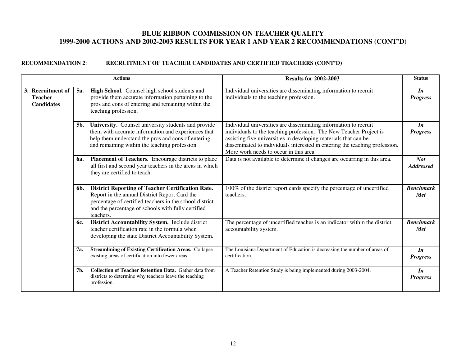|                                                          |            | <b>Actions</b>                                                                                                                                                                                                                          | <b>Results for 2002-2003</b>                                                                                                                                                                                                                                                                                                       | <b>Status</b>                   |
|----------------------------------------------------------|------------|-----------------------------------------------------------------------------------------------------------------------------------------------------------------------------------------------------------------------------------------|------------------------------------------------------------------------------------------------------------------------------------------------------------------------------------------------------------------------------------------------------------------------------------------------------------------------------------|---------------------------------|
| 3. Recruitment of<br><b>Teacher</b><br><b>Candidates</b> | 5a.        | High School. Counsel high school students and<br>provide them accurate information pertaining to the<br>pros and cons of entering and remaining within the<br>teaching profession.                                                      | Individual universities are disseminating information to recruit<br>individuals to the teaching profession.                                                                                                                                                                                                                        | $\mathbf{I}$<br><b>Progress</b> |
|                                                          | 5b.        | University. Counsel university students and provide<br>them with accurate information and experiences that<br>help them understand the pros and cons of entering<br>and remaining within the teaching profession.                       | Individual universities are disseminating information to recruit<br>individuals to the teaching profession. The New Teacher Project is<br>assisting five universities in developing materials that can be<br>disseminated to individuals interested in entering the teaching profession.<br>More work needs to occur in this area. | $\mathbf{I}$<br><b>Progress</b> |
|                                                          | <b>6a.</b> | Placement of Teachers. Encourage districts to place<br>all first and second year teachers in the areas in which<br>they are certified to teach.                                                                                         | Data is not available to determine if changes are occurring in this area.                                                                                                                                                                                                                                                          | <b>Not</b><br><b>Addressed</b>  |
|                                                          | 6b.        | <b>District Reporting of Teacher Certification Rate.</b><br>Report in the annual District Report Card the<br>percentage of certified teachers in the school district<br>and the percentage of schools with fully certified<br>teachers. | 100% of the district report cards specify the percentage of uncertified<br>teachers.                                                                                                                                                                                                                                               | <b>Benchmark</b><br><b>Met</b>  |
|                                                          | 6c.        | District Accountability System. Include district<br>teacher certification rate in the formula when<br>developing the state District Accountability System.                                                                              | The percentage of uncertified teaches is an indicator within the district<br>accountability system.                                                                                                                                                                                                                                | <b>Benchmark</b><br><b>Met</b>  |
|                                                          | 7а.        | <b>Streamlining of Existing Certification Areas. Collapse</b><br>existing areas of certification into fewer areas.                                                                                                                      | The Louisiana Department of Education is decreasing the number of areas of<br>certification.                                                                                                                                                                                                                                       | $\mathbf{I}$<br><b>Progress</b> |
|                                                          | 7b.        | <b>Collection of Teacher Retention Data.</b> Gather data from<br>districts to determine why teachers leave the teaching<br>profession.                                                                                                  | A Teacher Retention Study is being implemented during 2003-2004.                                                                                                                                                                                                                                                                   | In<br><b>Progress</b>           |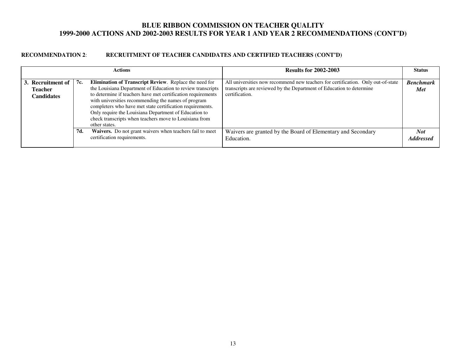|                                                          |     | <b>Actions</b>                                                                                                                                                                                                                                                                                                                                                                                                                                | <b>Results for 2002-2003</b>                                                                                                                                               | <b>Status</b>                  |
|----------------------------------------------------------|-----|-----------------------------------------------------------------------------------------------------------------------------------------------------------------------------------------------------------------------------------------------------------------------------------------------------------------------------------------------------------------------------------------------------------------------------------------------|----------------------------------------------------------------------------------------------------------------------------------------------------------------------------|--------------------------------|
| 3. Recruitment of<br><b>Teacher</b><br><b>Candidates</b> | 7c. | Elimination of Transcript Review. Replace the need for<br>the Louisiana Department of Education to review transcripts<br>to determine if teachers have met certification requirements<br>with universities recommending the names of program<br>completers who have met state certification requirements.<br>Only require the Louisiana Department of Education to<br>check transcripts when teachers move to Louisiana from<br>other states. | All universities now recommend new teachers for certification. Only out-of-state<br>transcripts are reviewed by the Department of Education to determine<br>certification. | <b>Benchmark</b><br><b>Met</b> |
|                                                          | 7d. | Waivers. Do not grant waivers when teachers fail to meet<br>certification requirements.                                                                                                                                                                                                                                                                                                                                                       | Waivers are granted by the Board of Elementary and Secondary<br>Education.                                                                                                 | Not<br><b>Addressed</b>        |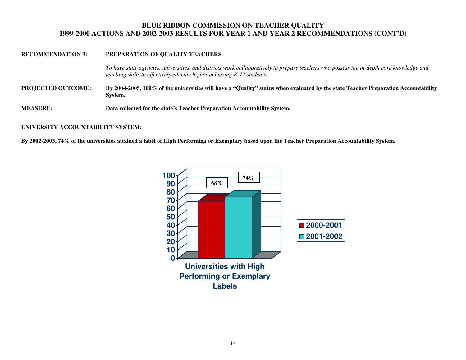#### **RECOMMENDATION 3: PREPARATION OF QUALITY TEACHERS**

*To have state agencies, universities, and districts work collaboratively to prepare teachers who possess the in-depth core knowledge and teaching skills to effectively educate higher achieving K-12 students.* 

- **PROJECTED OUTCOME: By 2004-2005, 100% of the universities will have a "Quality" status when evaluated by the state Teacher Preparation Accountability System.**
- **MEASURE: Data collected for the state's Teacher Preparation Accountability System.**

#### **UNIVERSITY ACCOUNTABILITY SYSTEM:**

**By 2002-2003, 74% of the universities attained a label of High Performing or Exemplary based upon the Teacher Preparation Accountability System.** 

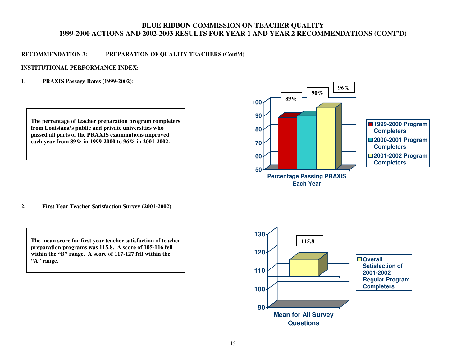### **RECOMMENDATION 3: PREPARATION OF QUALITY TEACHERS (Cont'd)**

#### **INSTITUTIONAL PERFORMANCE INDEX:**

**1. PRAXIS Passage Rates (1999-2002):** 





**2. First Year Teacher Satisfaction Survey (2001-2002)** 



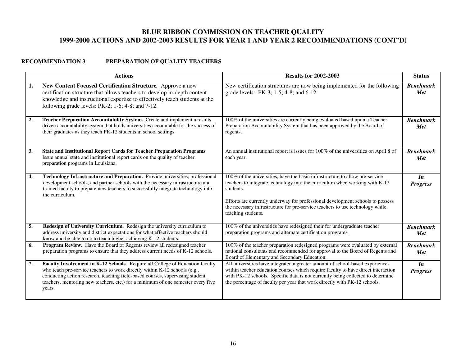## **RECOMMENDATION 3**: **PREPARATION OF QUALITY TEACHERS**

|    | <b>Actions</b>                                                                                                                                                                                                                                                                                                                             | <b>Results for 2002-2003</b>                                                                                                                                                                                                                                                                                                                                      | <b>Status</b>                  |
|----|--------------------------------------------------------------------------------------------------------------------------------------------------------------------------------------------------------------------------------------------------------------------------------------------------------------------------------------------|-------------------------------------------------------------------------------------------------------------------------------------------------------------------------------------------------------------------------------------------------------------------------------------------------------------------------------------------------------------------|--------------------------------|
| 1. | New Content Focused Certification Structure. Approve a new<br>certification structure that allows teachers to develop in-depth content<br>knowledge and instructional expertise to effectively teach students at the<br>following grade levels: PK-2; 1-6; 4-8; and 7-12.                                                                  | New certification structures are now being implemented for the following<br>grade levels: PK-3; 1-5; 4-8; and 6-12.                                                                                                                                                                                                                                               | <b>Benchmark</b><br>Met        |
| 2. | Teacher Preparation Accountability System. Create and implement a results<br>driven accountability system that holds universities accountable for the success of<br>their graduates as they teach PK-12 students in school settings.                                                                                                       | 100% of the universities are currently being evaluated based upon a Teacher<br>Preparation Accountability System that has been approved by the Board of<br>regents.                                                                                                                                                                                               | <b>Benchmark</b><br><b>Met</b> |
| 3. | State and Institutional Report Cards for Teacher Preparation Programs.<br>Issue annual state and institutional report cards on the quality of teacher<br>preparation programs in Louisiana.                                                                                                                                                | An annual institutional report is issues for 100% of the universities on April 8 of<br>each year.                                                                                                                                                                                                                                                                 | <b>Benchmark</b><br>Met        |
| 4. | Technology Infrastructure and Preparation. Provide universities, professional<br>development schools, and partner schools with the necessary infrastructure and<br>trained faculty to prepare new teachers to successfully integrate technology into<br>the curriculum.                                                                    | 100% of the universities, have the basic infrastructure to allow pre-service<br>teachers to integrate technology into the curriculum when working with K-12<br>students.<br>Efforts are currently underway for professional development schools to possess<br>the necessary infrastructure for pre-service teachers to use technology while<br>teaching students. | In<br><b>Progress</b>          |
| 5. | Redesign of University Curriculum. Redesign the university curriculum to<br>address university and district expectations for what effective teachers should<br>know and be able to do to teach higher achieving K-12 students.                                                                                                             | 100% of the universities have redesigned their for undergraduate teacher<br>preparation programs and alternate certification programs.                                                                                                                                                                                                                            | <b>Benchmark</b><br>Met        |
| 6. | Program Review. Have the Board of Regents review all redesigned teacher<br>preparation programs to ensure that they address current needs of K-12 schools.                                                                                                                                                                                 | 100% of the teacher preparation redesigned programs were evaluated by external<br>national consultants and recommended for approval to the Board of Regents and<br>Board of Elementary and Secondary Education.                                                                                                                                                   | <b>Benchmark</b><br>Met        |
| 7. | Faculty Involvement in K-12 Schools. Require all College of Education faculty<br>who teach pre-service teachers to work directly within K-12 schools (e.g.,<br>conducting action research, teaching field-based courses, supervising student<br>teachers, mentoring new teachers, etc.) for a minimum of one semester every five<br>years. | All universities have integrated a greater amount of school-based experiences<br>within teacher education courses which require faculty to have direct interaction<br>with PK-12 schools. Specific data is not currently being collected to determine<br>the percentage of faculty per year that work directly with PK-12 schools.                                | In<br><b>Progress</b>          |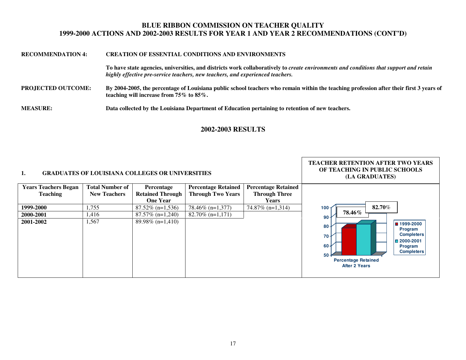# **RECOMMENDATION 4: CREATION OF ESSENTIAL CONDITIONS AND ENVIRONMENTS**

**To have state agencies, universities, and districts work collaboratively to** *create environments and conditions that support and retain highly effective pre-service teachers, new teachers, and experienced teachers.* 

**PROJECTED OUTCOME: By 2004-2005, the percentage of Louisiana public school teachers who remain within the teaching profession after their first 3 years of teaching will increase from 75% to 85%.** 

**MEASURE: Data collected by the Louisiana Department of Education pertaining to retention of new teachers.** 

#### **2002-2003 RESULTS**

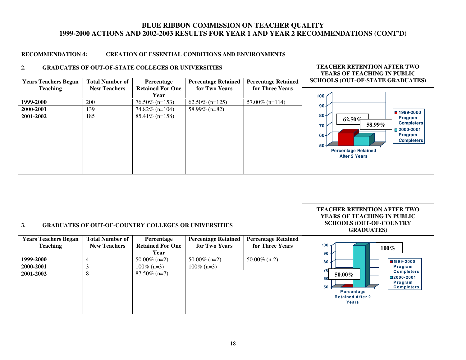**TEACHER RETENTION AFTER TWO** 

#### **RECOMMENDATION 4: CREATION OF ESSENTIAL CONDITIONS AND ENVIRONMENTS**

#### **2. GRADUATES OF OUT-OF-STATE COLLEGES OR UNIVERSITIES**



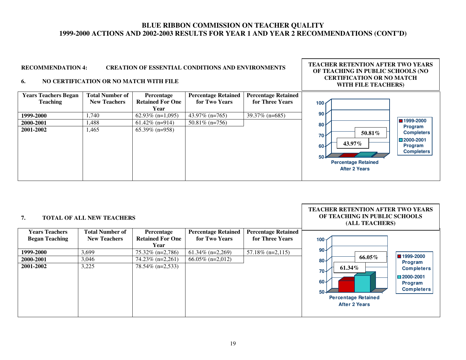**TEACHER RETENTION AFTER TWO YEARS OF TEACHING IN PUBLIC SCHOOLS (NO CERTIFICATION OR NO MATCH** 

#### **RECOMMENDATION 4: CREATION OF ESSENTIAL CONDITIONS AND ENVIRONMENTS**

#### **6. NO CERTIFICATION OR NO MATCH WITH FILE**



| <b>Years Teachers</b><br><b>Percentage Retained</b><br><b>Total Number of</b><br><b>Percentage Retained</b><br>Percentage<br>for Three Years<br><b>Began Teaching</b><br><b>Retained For One</b><br>for Two Years<br><b>New Teachers</b><br>100 <sub>1</sub><br>Year<br>$90 +$<br>$61.34\%$ (n=2,269)<br>$57.18\%$ (n=2,115)<br>3,699<br>$75.32\%$ (n=2,786)<br>1999-2000<br>$66.05\%$ (n=2,012)<br>3,046<br>$74.23\%$ (n=2,261)<br>2000-2001<br>$80 +$<br>3,225<br>78.54% (n=2,533)<br>2001-2002<br>$70+$ |                                                              |                                                                       |
|------------------------------------------------------------------------------------------------------------------------------------------------------------------------------------------------------------------------------------------------------------------------------------------------------------------------------------------------------------------------------------------------------------------------------------------------------------------------------------------------------------|--------------------------------------------------------------|-----------------------------------------------------------------------|
|                                                                                                                                                                                                                                                                                                                                                                                                                                                                                                            |                                                              |                                                                       |
|                                                                                                                                                                                                                                                                                                                                                                                                                                                                                                            |                                                              |                                                                       |
|                                                                                                                                                                                                                                                                                                                                                                                                                                                                                                            |                                                              |                                                                       |
|                                                                                                                                                                                                                                                                                                                                                                                                                                                                                                            |                                                              | $\blacksquare$ 1999-2000                                              |
|                                                                                                                                                                                                                                                                                                                                                                                                                                                                                                            | 66.05%                                                       | Program                                                               |
| $60 -$<br>$50 -$                                                                                                                                                                                                                                                                                                                                                                                                                                                                                           | 61.34%<br><b>Percentage Retained</b><br><b>After 2 Years</b> | <b>Completers</b><br>$\Box$ 2000-2001<br>Program<br><b>Completers</b> |

19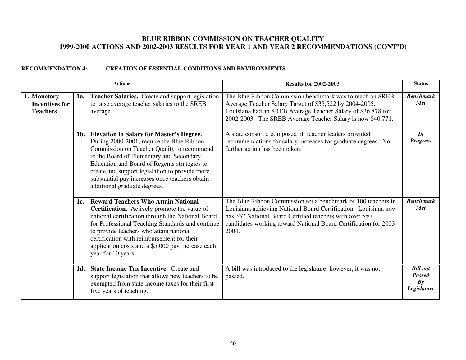|                                                         |     | <b>Actions</b>                                                                                                                                                                                                                                                                                                                                                             | <b>Results for 2002-2003</b>                                                                                                                                                                                                                                             | <b>Status</b>                                         |
|---------------------------------------------------------|-----|----------------------------------------------------------------------------------------------------------------------------------------------------------------------------------------------------------------------------------------------------------------------------------------------------------------------------------------------------------------------------|--------------------------------------------------------------------------------------------------------------------------------------------------------------------------------------------------------------------------------------------------------------------------|-------------------------------------------------------|
| 1. Monetary<br><b>Incentives for</b><br><b>Teachers</b> | 1a. | Teacher Salaries. Create and support legislation<br>to raise average teacher salaries to the SREB<br>average.                                                                                                                                                                                                                                                              | The Blue Ribbon Commission benchmark was to reach an SREB<br>Average Teacher Salary Target of \$35,522 by 2004-2005.<br>Louisiana had an SREB Average Teacher Salary of \$36,878 for<br>2002-2003. The SREB Average Teacher Salary is now \$40,771.                      | <b>Benchmark</b><br>Met                               |
|                                                         | 1b. | <b>Elevation in Salary for Master's Degree.</b><br>During 2000-2001, require the Blue Ribbon<br>Commission on Teacher Quality to recommend<br>to the Board of Elementary and Secondary<br>Education and Board of Regents strategies to<br>create and support legislation to provide more<br>substantial pay increases once teachers obtain<br>additional graduate degrees. | A state consortia composed of teacher leaders provided<br>recommendations for salary increases for graduate degrees. No<br>further action has been taken.                                                                                                                | $\mathbf{I}$<br><b>Progress</b>                       |
|                                                         | 1c. | <b>Reward Teachers Who Attain National</b><br>Certification. Actively promote the value of<br>national certification through the National Board<br>for Professional Teaching Standards and continue<br>to provide teachers who attain national<br>certification with reimbursement for their<br>application costs and a \$5,000 pay increase each<br>year for 10 years.    | The Blue Ribbon Commission set a benchmark of 100 teachers in<br>Louisiana achieving National Board Certification. Louisiana now<br>has 337 National Board Certified teachers with over 550<br>candidates working toward National Board Certification for 2003-<br>2004. | <b>Benchmark</b><br><b>Met</b>                        |
|                                                         | 1d. | <b>State Income Tax Incentive.</b> Create and<br>support legislation that allows new teachers to be<br>exempted from state income taxes for their first<br>five years of teaching.                                                                                                                                                                                         | A bill was introduced to the legislature; however, it was not<br>passed.                                                                                                                                                                                                 | <b>Bill not</b><br><b>Passed</b><br>Bv<br>Legislature |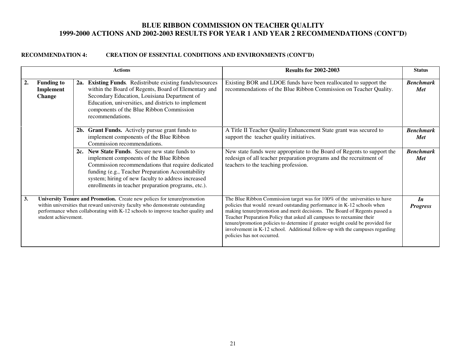|    |                                                                                                                                                                                                                                                                       | <b>Actions</b>                                                                                                                                                                                                                                                                                                   | <b>Results for 2002-2003</b>                                                                                                                                                                                                                                                                                                                                                                                                                                                                                 | <b>Status</b>                  |
|----|-----------------------------------------------------------------------------------------------------------------------------------------------------------------------------------------------------------------------------------------------------------------------|------------------------------------------------------------------------------------------------------------------------------------------------------------------------------------------------------------------------------------------------------------------------------------------------------------------|--------------------------------------------------------------------------------------------------------------------------------------------------------------------------------------------------------------------------------------------------------------------------------------------------------------------------------------------------------------------------------------------------------------------------------------------------------------------------------------------------------------|--------------------------------|
| 2. | <b>Funding to</b><br>Implement<br><b>Change</b>                                                                                                                                                                                                                       | 2a. Existing Funds. Redistribute existing funds/resources<br>within the Board of Regents, Board of Elementary and<br>Secondary Education, Louisiana Department of<br>Education, universities, and districts to implement<br>components of the Blue Ribbon Commission<br>recommendations.                         | Existing BOR and LDOE funds have been reallocated to support the<br>recommendations of the Blue Ribbon Commission on Teacher Quality.                                                                                                                                                                                                                                                                                                                                                                        | <b>Benchmark</b><br>Met        |
|    |                                                                                                                                                                                                                                                                       | 2b. Grant Funds. Actively pursue grant funds to<br>implement components of the Blue Ribbon<br>Commission recommendations.                                                                                                                                                                                        | A Title II Teacher Quality Enhancement State grant was secured to<br>support the teacher quality initiatives.                                                                                                                                                                                                                                                                                                                                                                                                | <b>Benchmark</b><br><b>Met</b> |
|    |                                                                                                                                                                                                                                                                       | 2c. New State Funds. Secure new state funds to<br>implement components of the Blue Ribbon<br>Commission recommendations that require dedicated<br>funding (e.g., Teacher Preparation Accountability<br>system; hiring of new faculty to address increased<br>enrollments in teacher preparation programs, etc.). | New state funds were appropriate to the Board of Regents to support the<br>redesign of all teacher preparation programs and the recruitment of<br>teachers to the teaching profession.                                                                                                                                                                                                                                                                                                                       | <b>Benchmark</b><br><b>Met</b> |
| 3. | University Tenure and Promotion. Create new polices for tenure/promotion<br>within universities that reward university faculty who demonstrate outstanding<br>performance when collaborating with K-12 schools to improve teacher quality and<br>student achievement. |                                                                                                                                                                                                                                                                                                                  | The Blue Ribbon Commission target was for 100% of the universities to have<br>policies that would reward outstanding performance in K-12 schools when<br>making tenure/promotion and merit decisions. The Board of Regents passed a<br>Teacher Preparation Policy that asked all campuses to reexamine their<br>tenure/promotion policies to determine if greater weight could be provided for<br>involvement in K-12 school. Additional follow-up with the campuses regarding<br>policies has not occurred. | In<br><b>Progress</b>          |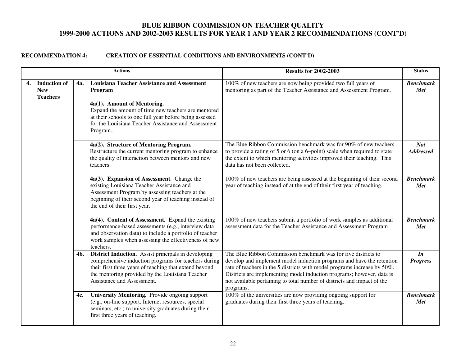|    |                                                      |     | <b>Actions</b>                                                                                                                                                                                                                                                                   | <b>Results for 2002-2003</b>                                                                                                                                                                                                                                                                                                                                                         | <b>Status</b>                   |
|----|------------------------------------------------------|-----|----------------------------------------------------------------------------------------------------------------------------------------------------------------------------------------------------------------------------------------------------------------------------------|--------------------------------------------------------------------------------------------------------------------------------------------------------------------------------------------------------------------------------------------------------------------------------------------------------------------------------------------------------------------------------------|---------------------------------|
| 4. | <b>Induction of</b><br><b>New</b><br><b>Teachers</b> | 4a. | <b>Louisiana Teacher Assistance and Assessment</b><br>Program<br>4a(1). Amount of Mentoring.<br>Expand the amount of time new teachers are mentored<br>at their schools to one full year before being assessed<br>for the Louisiana Teacher Assistance and Assessment<br>Program | 100% of new teachers are now being provided two full years of<br>mentoring as part of the Teacher Assistance and Assessment Program.                                                                                                                                                                                                                                                 | <b>Benchmark</b><br>Met         |
|    |                                                      |     | 4a(2). Structure of Mentoring Program.<br>Restructure the current mentoring program to enhance<br>the quality of interaction between mentors and new<br>teachers.                                                                                                                | The Blue Ribbon Commission benchmark was for 90% of new teachers<br>to provide a rating of 5 or 6 (on a 6-point) scale when required to state<br>the extent to which mentoring activities improved their teaching. This<br>data has not been collected.                                                                                                                              | <b>Not</b><br><b>Addressed</b>  |
|    |                                                      |     | 4a(3). Expansion of Assessment. Change the<br>existing Louisiana Teacher Assistance and<br>Assessment Program by assessing teachers at the<br>beginning of their second year of teaching instead of<br>the end of their first year.                                              | 100% of new teachers are being assessed at the beginning of their second<br>year of teaching instead of at the end of their first year of teaching.                                                                                                                                                                                                                                  | <b>Benchmark</b><br><b>Met</b>  |
|    |                                                      |     | 4a(4). Content of Assessment. Expand the existing<br>performance-based assessments (e.g., interview data<br>and observation data) to include a portfolio of teacher<br>work samples when assessing the effectiveness of new<br>teachers.                                         | 100% of new teachers submit a portfolio of work samples as additional<br>assessment data for the Teacher Assistance and Assessment Program                                                                                                                                                                                                                                           | <b>Benchmark</b><br>Met         |
|    |                                                      | 4b. | <b>District Induction.</b> Assist principals in developing<br>comprehensive induction programs for teachers during<br>their first three years of teaching that extend beyond<br>the mentoring provided by the Louisiana Teacher<br>Assistance and Assessment.                    | The Blue Ribbon Commission benchmark was for five districts to<br>develop and implement model induction programs and have the retention<br>rate of teachers in the 5 districts with model programs increase by 50%.<br>Districts are implementing model induction programs; however, data is<br>not available pertaining to total number of districts and impact of the<br>programs. | $\mathbf{I}$<br><b>Progress</b> |
|    |                                                      | 4c. | University Mentoring. Provide ongoing support<br>(e.g., on-line support, Internet resources, special<br>seminars, etc.) to university graduates during their<br>first three years of teaching.                                                                                   | 100% of the universities are now providing ongoing support for<br>graduates during their first three years of teaching.                                                                                                                                                                                                                                                              | <b>Benchmark</b><br>Met         |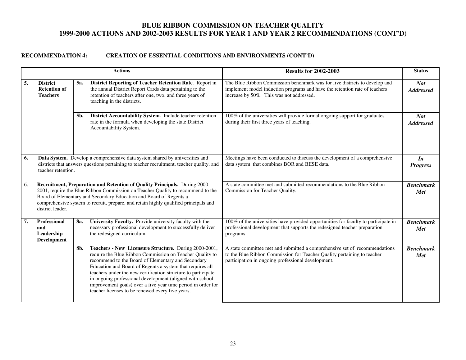|    |                                                                                                                                                                                                                                                                                                                                                 |     | <b>Actions</b>                                                                                                                                                                                                                                                                                                                                                                                                                                                                        | <b>Results for 2002-2003</b>                                                                                                                                                                                | <b>Status</b>                  |
|----|-------------------------------------------------------------------------------------------------------------------------------------------------------------------------------------------------------------------------------------------------------------------------------------------------------------------------------------------------|-----|---------------------------------------------------------------------------------------------------------------------------------------------------------------------------------------------------------------------------------------------------------------------------------------------------------------------------------------------------------------------------------------------------------------------------------------------------------------------------------------|-------------------------------------------------------------------------------------------------------------------------------------------------------------------------------------------------------------|--------------------------------|
| 5. | <b>District</b><br><b>Retention of</b><br><b>Teachers</b>                                                                                                                                                                                                                                                                                       | 5a. | District Reporting of Teacher Retention Rate. Report in<br>the annual District Report Cards data pertaining to the<br>retention of teachers after one, two, and three years of<br>teaching in the districts.                                                                                                                                                                                                                                                                          | The Blue Ribbon Commission benchmark was for five districts to develop and<br>implement model induction programs and have the retention rate of teachers<br>increase by 50%. This was not addressed.        | <b>Not</b><br><b>Addressed</b> |
|    |                                                                                                                                                                                                                                                                                                                                                 | 5b. | District Accountability System. Include teacher retention<br>rate in the formula when developing the state District<br>Accountability System.                                                                                                                                                                                                                                                                                                                                         | 100% of the universities will provide formal ongoing support for graduates<br>during their first three years of teaching.                                                                                   | <b>Not</b><br><b>Addressed</b> |
| 6. | Data System. Develop a comprehensive data system shared by universities and<br>districts that answers questions pertaining to teacher recruitment, teacher quality, and<br>teacher retention.                                                                                                                                                   |     |                                                                                                                                                                                                                                                                                                                                                                                                                                                                                       | Meetings have been conducted to discuss the development of a comprehensive<br>data system that combines BOR and BESE data.                                                                                  | In<br><b>Progress</b>          |
| 6. | Recruitment, Preparation and Retention of Quality Principals. During 2000-<br>2001, require the Blue Ribbon Commission on Teacher Quality to recommend to the<br>Board of Elementary and Secondary Education and Board of Regents a<br>comprehensive system to recruit, prepare, and retain highly qualified principals and<br>district leader. |     |                                                                                                                                                                                                                                                                                                                                                                                                                                                                                       | A state committee met and submitted recommendations to the Blue Ribbon<br>Commission for Teacher Quality.                                                                                                   | <b>Benchmark</b><br><b>Met</b> |
| 7. | Professional<br>and<br>Leadership<br><b>Development</b>                                                                                                                                                                                                                                                                                         | 8a. | University Faculty. Provide university faculty with the<br>necessary professional development to successfully deliver<br>the redesigned curriculum.                                                                                                                                                                                                                                                                                                                                   | 100% of the universities have provided opportunities for faculty to participate in<br>professional development that supports the redesigned teacher preparation<br>programs.                                | <b>Benchmark</b><br><b>Met</b> |
|    |                                                                                                                                                                                                                                                                                                                                                 | 8b. | Teachers - New Licensure Structure. During 2000-2001,<br>require the Blue Ribbon Commission on Teacher Quality to<br>recommend to the Board of Elementary and Secondary<br>Education and Board of Regents a system that requires all<br>teachers under the new certification structure to participate<br>in ongoing professional development (aligned with school<br>improvement goals) over a five year time period in order for<br>teacher licenses to be renewed every five years. | A state committee met and submitted a comprehensive set of recommendations<br>to the Blue Ribbon Commission for Teacher Quality pertaining to teacher<br>participation in ongoing professional development. | <b>Benchmark</b><br><b>Met</b> |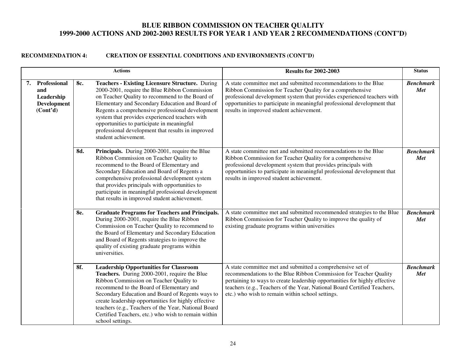|                                                                              |     | <b>Actions</b>                                                                                                                                                                                                                                                                                                                                                                                                                                 | <b>Results for 2002-2003</b>                                                                                                                                                                                                                                                                                                                  | <b>Status</b>           |
|------------------------------------------------------------------------------|-----|------------------------------------------------------------------------------------------------------------------------------------------------------------------------------------------------------------------------------------------------------------------------------------------------------------------------------------------------------------------------------------------------------------------------------------------------|-----------------------------------------------------------------------------------------------------------------------------------------------------------------------------------------------------------------------------------------------------------------------------------------------------------------------------------------------|-------------------------|
| 7. Professional<br>and<br>Leadership<br>Development<br>(Cont <sup>2</sup> d) | 8c. | <b>Teachers - Existing Licensure Structure.</b> During<br>2000-2001, require the Blue Ribbon Commission<br>on Teacher Quality to recommend to the Board of<br>Elementary and Secondary Education and Board of<br>Regents a comprehensive professional development<br>system that provides experienced teachers with<br>opportunities to participate in meaningful<br>professional development that results in improved<br>student achievement. | A state committee met and submitted recommendations to the Blue<br>Ribbon Commission for Teacher Quality for a comprehensive<br>professional development system that provides experienced teachers with<br>opportunities to participate in meaningful professional development that<br>results in improved student achievement.               | <b>Benchmark</b><br>Met |
|                                                                              | 8d. | Principals. During 2000-2001, require the Blue<br>Ribbon Commission on Teacher Quality to<br>recommend to the Board of Elementary and<br>Secondary Education and Board of Regents a<br>comprehensive professional development system<br>that provides principals with opportunities to<br>participate in meaningful professional development<br>that results in improved student achievement.                                                  | A state committee met and submitted recommendations to the Blue<br>Ribbon Commission for Teacher Quality for a comprehensive<br>professional development system that provides principals with<br>opportunities to participate in meaningful professional development that<br>results in improved student achievement.                         | <b>Benchmark</b><br>Met |
|                                                                              | 8e. | <b>Graduate Programs for Teachers and Principals.</b><br>During 2000-2001, require the Blue Ribbon<br>Commission on Teacher Quality to recommend to<br>the Board of Elementary and Secondary Education<br>and Board of Regents strategies to improve the<br>quality of existing graduate programs within<br>universities.                                                                                                                      | A state committee met and submitted recommended strategies to the Blue<br>Ribbon Commission for Teacher Quality to improve the quality of<br>existing graduate programs within universities                                                                                                                                                   | <b>Benchmark</b><br>Met |
|                                                                              | 8f. | <b>Leadership Opportunities for Classroom</b><br>Teachers. During 2000-2001, require the Blue<br>Ribbon Commission on Teacher Quality to<br>recommend to the Board of Elementary and<br>Secondary Education and Board of Regents ways to<br>create leadership opportunities for highly effective<br>teachers (e.g., Teachers of the Year, National Board<br>Certified Teachers, etc.) who wish to remain within<br>school settings.            | A state committee met and submitted a comprehensive set of<br>recommendations to the Blue Ribbon Commission for Teacher Quality<br>pertaining to ways to create leadership opportunities for highly effective<br>teachers (e.g., Teachers of the Year, National Board Certified Teachers,<br>etc.) who wish to remain within school settings. | <b>Benchmark</b><br>Met |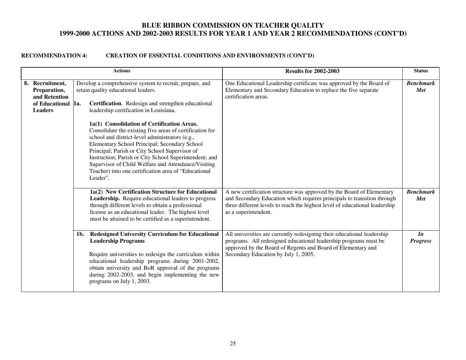|                                                                    |            | <b>Actions</b>                                                                                                                                                                                                                                                                                                                                                                                                                                                                               | <b>Results for 2002-2003</b>                                                                                                                                                                                                                            | <b>Status</b>                   |
|--------------------------------------------------------------------|------------|----------------------------------------------------------------------------------------------------------------------------------------------------------------------------------------------------------------------------------------------------------------------------------------------------------------------------------------------------------------------------------------------------------------------------------------------------------------------------------------------|---------------------------------------------------------------------------------------------------------------------------------------------------------------------------------------------------------------------------------------------------------|---------------------------------|
| 8. Recruitment,<br>Preparation,<br>and Retention<br>of Educational | <b>1a.</b> | Develop a comprehensive system to recruit, prepare, and<br>retain quality educational leaders.<br>Certification. Redesign and strengthen educational                                                                                                                                                                                                                                                                                                                                         | One Educational Leadership certificate was approved by the Board of<br>Elementary and Secondary Education to replace the five separate<br>certification areas.                                                                                          | <b>Benchmark</b><br>Met         |
| <b>Leaders</b>                                                     |            | leadership certification in Louisiana.<br>1a(1) Consolidation of Certification Areas.<br>Consolidate the existing five areas of certification for<br>school and district-level administrators (e.g.,<br>Elementary School Principal; Secondary School<br>Principal; Parish or City School Supervisor of<br>Instruction; Parish or City School Superintendent; and<br>Supervisor of Child Welfare and Attendance/Visiting<br>Teacher) into one certification area of "Educational<br>Leader". |                                                                                                                                                                                                                                                         |                                 |
|                                                                    |            | 1a(2) New Certification Structure for Educational<br>Leadership. Require educational leaders to progress<br>through different levels to obtain a professional<br>license as an educational leader. The highest level<br>must be attained to be certified as a superintendent.                                                                                                                                                                                                                | A new certification structure was approved by the Board of Elementary<br>and Secondary Education which requires principals to transition through<br>three different levels to reach the highest level of educational leadership<br>as a superintendent. | <b>Benchmark</b><br>Met         |
|                                                                    | 1b.        | <b>Redesigned University Curriculum for Educational</b><br><b>Leadership Programs</b><br>Require universities to redesign the curriculum within<br>educational leadership programs during 2001-2002,<br>obtain university and BoR approval of the programs<br>during 2002-2003, and begin implementing the new<br>programs on July 1, 2003.                                                                                                                                                  | All universities are currently redesigning their educational leadership<br>programs. All redesigned educational leadership programs must be<br>approved by the Board of Regents and Board of Elementary and<br>Secondary Education by July 1, 2005.     | $\mathbf{I}$<br><b>Progress</b> |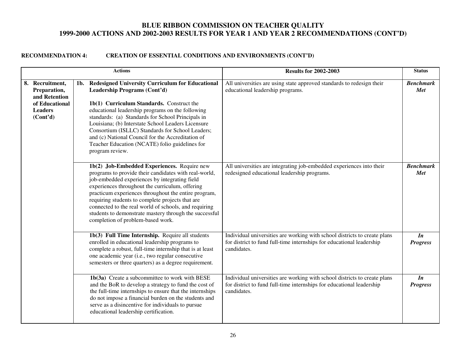|                                                                                                  |     | <b>Actions</b>                                                                                                                                                                                                                                                                                                                                                                                                                                                                    | <b>Results for 2002-2003</b>                                                                                                                                      | <b>Status</b>                |
|--------------------------------------------------------------------------------------------------|-----|-----------------------------------------------------------------------------------------------------------------------------------------------------------------------------------------------------------------------------------------------------------------------------------------------------------------------------------------------------------------------------------------------------------------------------------------------------------------------------------|-------------------------------------------------------------------------------------------------------------------------------------------------------------------|------------------------------|
| 8. Recruitment,<br>Preparation,<br>and Retention<br>of Educational<br><b>Leaders</b><br>(Cont'd) | 1b. | <b>Redesigned University Curriculum for Educational</b><br>Leadership Programs (Cont'd)<br>1b(1) Curriculum Standards. Construct the<br>educational leadership programs on the following<br>standards: (a) Standards for School Principals in<br>Louisiana; (b) Interstate School Leaders Licensure<br>Consortium (ISLLC) Standards for School Leaders;<br>and (c) National Council for the Accreditation of<br>Teacher Education (NCATE) folio guidelines for<br>program review. | All universities are using state approved standards to redesign their<br>educational leadership programs.                                                         | <b>Benchmark</b><br>Met      |
|                                                                                                  |     | 1b(2) Job-Embedded Experiences. Require new<br>programs to provide their candidates with real-world,<br>job-embedded experiences by integrating field<br>experiences throughout the curriculum, offering<br>practicum experiences throughout the entire program,<br>requiring students to complete projects that are<br>connected to the real world of schools, and requiring<br>students to demonstrate mastery through the successful<br>completion of problem-based work.      | All universities are integrating job-embedded experiences into their<br>redesigned educational leadership programs.                                               | <b>Benchmark</b><br>Met      |
|                                                                                                  |     | 1b(3) Full Time Internship. Require all students<br>enrolled in educational leadership programs to<br>complete a robust, full-time internship that is at least<br>one academic year (i.e., two regular consecutive<br>semesters or three quarters) as a degree requirement.                                                                                                                                                                                                       | Individual universities are working with school districts to create plans<br>for district to fund full-time internships for educational leadership<br>candidates. | In<br><b>Progress</b>        |
|                                                                                                  |     | 1b(3a) Create a subcommittee to work with BESE<br>and the BoR to develop a strategy to fund the cost of<br>the full-time internships to ensure that the internships<br>do not impose a financial burden on the students and<br>serve as a disincentive for individuals to pursue<br>educational leadership certification.                                                                                                                                                         | Individual universities are working with school districts to create plans<br>for district to fund full-time internships for educational leadership<br>candidates. | <i>In</i><br><b>Progress</b> |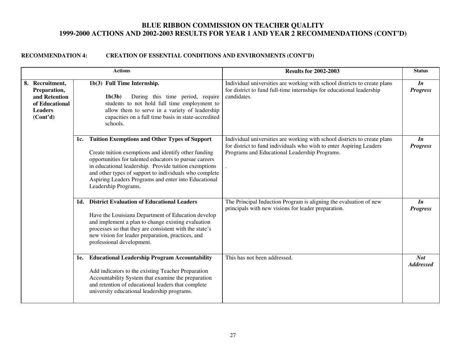|                                                                                                  |     | <b>Actions</b>                                                                                                                                                                                                                                                                                                                                                            | <b>Results for 2002-2003</b>                                                                                                                                                                      | <b>Status</b>                   |
|--------------------------------------------------------------------------------------------------|-----|---------------------------------------------------------------------------------------------------------------------------------------------------------------------------------------------------------------------------------------------------------------------------------------------------------------------------------------------------------------------------|---------------------------------------------------------------------------------------------------------------------------------------------------------------------------------------------------|---------------------------------|
| 8. Recruitment,<br>Preparation,<br>and Retention<br>of Educational<br><b>Leaders</b><br>(Cont'd) |     | 1b(3) Full Time Internship.<br>During this time period, require<br>1b(3b)<br>students to not hold full time employment to<br>allow them to serve in a variety of leadership<br>capacities on a full time basis in state-accredited<br>schools.                                                                                                                            | Individual universities are working with school districts to create plans<br>for district to fund full-time internships for educational leadership<br>candidates.                                 | In<br><b>Progress</b>           |
|                                                                                                  | 1c. | <b>Tuition Exemptions and Other Types of Support</b><br>Create tuition exemptions and identify other funding<br>opportunities for talented educators to pursue careers<br>in educational leadership. Provide tuition exemptions<br>and other types of support to individuals who complete<br>Aspiring Leaders Programs and enter into Educational<br>Leadership Programs. | Individual universities are working with school districts to create plans<br>for district to fund individuals who wish to enter Aspiring Leaders<br>Programs and Educational Leadership Programs. | <i>In</i><br><b>Progress</b>    |
|                                                                                                  | 1d. | <b>District Evaluation of Educational Leaders</b><br>Have the Louisiana Department of Education develop<br>and implement a plan to change existing evaluation<br>processes so that they are consistent with the state's<br>new vision for leader preparation, practices, and<br>professional development.                                                                 | The Principal Induction Program is aligning the evaluation of new<br>principals with new visions for leader preparation.                                                                          | $\mathbf{I}$<br><b>Progress</b> |
|                                                                                                  | 1e. | <b>Educational Leadership Program Accountability</b><br>Add indicators to the existing Teacher Preparation<br>Accountability System that examine the preparation<br>and retention of educational leaders that complete<br>university educational leadership programs.                                                                                                     | This has not been addressed.                                                                                                                                                                      | <b>Not</b><br><b>Addressed</b>  |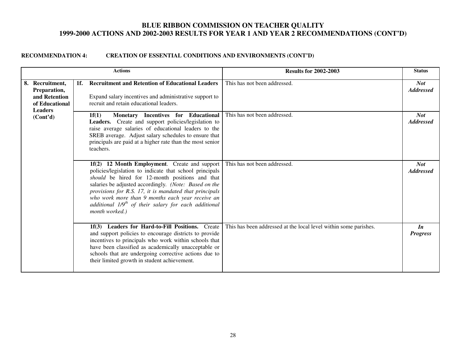|  |                                                                                      |     | <b>Actions</b>                                                                                                                                                                                                                                                                                                                                                                                                 | <b>Results for 2002-2003</b>                                     | <b>Status</b>                  |
|--|--------------------------------------------------------------------------------------|-----|----------------------------------------------------------------------------------------------------------------------------------------------------------------------------------------------------------------------------------------------------------------------------------------------------------------------------------------------------------------------------------------------------------------|------------------------------------------------------------------|--------------------------------|
|  | 8. Recruitment.<br>Preparation,<br>and Retention<br>of Educational<br><b>Leaders</b> | 1f. | <b>Recruitment and Retention of Educational Leaders</b><br>Expand salary incentives and administrative support to<br>recruit and retain educational leaders.                                                                                                                                                                                                                                                   | This has not been addressed.                                     | <b>Not</b><br><b>Addressed</b> |
|  | (Cont'd)                                                                             |     | Monetary Incentives for Educational<br>1f(1)<br>Leaders. Create and support policies/legislation to<br>raise average salaries of educational leaders to the<br>SREB average. Adjust salary schedules to ensure that<br>principals are paid at a higher rate than the most senior<br>teachers.                                                                                                                  | This has not been addressed.                                     | <b>Not</b><br><b>Addressed</b> |
|  |                                                                                      |     | 1f(2) 12 Month Employment. Create and support<br>policies/legislation to indicate that school principals<br>should be hired for 12-month positions and that<br>salaries be adjusted accordingly. (Note: Based on the<br>provisions for R.S. 17, it is mandated that principals<br>who work more than 9 months each year receive an<br>additional $1/9th$ of their salary for each additional<br>month worked.) | This has not been addressed.                                     | <b>Not</b><br><b>Addressed</b> |
|  |                                                                                      |     | 1f(3) Leaders for Hard-to-Fill Positions. Create<br>and support policies to encourage districts to provide<br>incentives to principals who work within schools that<br>have been classified as academically unacceptable or<br>schools that are undergoing corrective actions due to<br>their limited growth in student achievement.                                                                           | This has been addressed at the local level within some parishes. | In<br><b>Progress</b>          |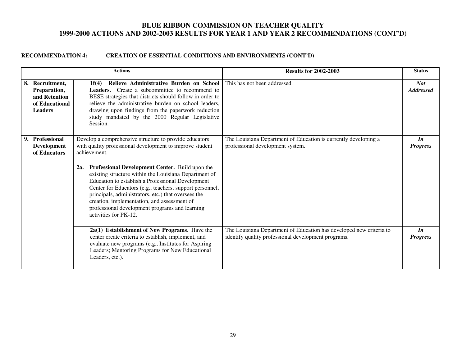|    |                                                                                   | <b>Actions</b>                                                                                                                                                                                                                                                                                                                                                                                                                                                                                                                                          | <b>Results for 2002-2003</b>                                                                                               | <b>Status</b>                   |
|----|-----------------------------------------------------------------------------------|---------------------------------------------------------------------------------------------------------------------------------------------------------------------------------------------------------------------------------------------------------------------------------------------------------------------------------------------------------------------------------------------------------------------------------------------------------------------------------------------------------------------------------------------------------|----------------------------------------------------------------------------------------------------------------------------|---------------------------------|
| 8. | Recruitment.<br>Preparation,<br>and Retention<br>of Educational<br><b>Leaders</b> | Relieve Administrative Burden on School<br>1f(4)<br><b>Leaders.</b> Create a subcommittee to recommend to<br>BESE strategies that districts should follow in order to<br>relieve the administrative burden on school leaders.<br>drawing upon findings from the paperwork reduction<br>study mandated by the 2000 Regular Legislative<br>Session.                                                                                                                                                                                                       | This has not been addressed.                                                                                               | <b>Not</b><br><b>Addressed</b>  |
| 9. | Professional<br><b>Development</b><br>of Educators                                | Develop a comprehensive structure to provide educators<br>with quality professional development to improve student<br>achievement.<br>Professional Development Center. Build upon the<br>2a.<br>existing structure within the Louisiana Department of<br>Education to establish a Professional Development<br>Center for Educators (e.g., teachers, support personnel,<br>principals, administrators, etc.) that oversees the<br>creation, implementation, and assessment of<br>professional development programs and learning<br>activities for PK-12. | The Louisiana Department of Education is currently developing a<br>professional development system.                        | In<br><b>Progress</b>           |
|    |                                                                                   | $2a(1)$ Establishment of New Programs. Have the<br>center create criteria to establish, implement, and<br>evaluate new programs (e.g., Institutes for Aspiring<br>Leaders; Mentoring Programs for New Educational<br>Leaders, etc.).                                                                                                                                                                                                                                                                                                                    | The Louisiana Department of Education has developed new criteria to<br>identify quality professional development programs. | $\mathbf{I}$<br><b>Progress</b> |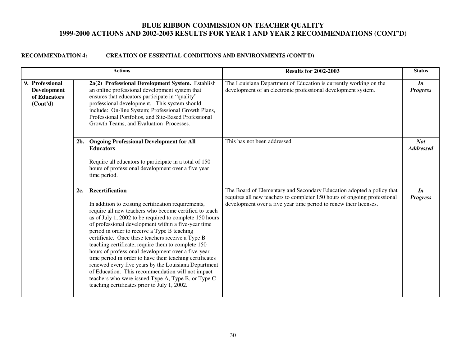|                                                                   |        | <b>Actions</b>                                                                                                                                                                                                                                                                                                                                                                                                                                                                                                                                                                                                                                                                                                                                            | <b>Results for 2002-2003</b>                                                                                                                                                                                           | <b>Status</b>                   |
|-------------------------------------------------------------------|--------|-----------------------------------------------------------------------------------------------------------------------------------------------------------------------------------------------------------------------------------------------------------------------------------------------------------------------------------------------------------------------------------------------------------------------------------------------------------------------------------------------------------------------------------------------------------------------------------------------------------------------------------------------------------------------------------------------------------------------------------------------------------|------------------------------------------------------------------------------------------------------------------------------------------------------------------------------------------------------------------------|---------------------------------|
| 9. Professional<br><b>Development</b><br>of Educators<br>(Cont'd) |        | 2a(2) Professional Development System. Establish<br>an online professional development system that<br>ensures that educators participate in "quality"<br>professional development. This system should<br>include: On-line System; Professional Growth Plans,<br>Professional Portfolios, and Site-Based Professional<br>Growth Teams, and Evaluation Processes.                                                                                                                                                                                                                                                                                                                                                                                           | The Louisiana Department of Education is currently working on the<br>development of an electronic professional development system.                                                                                     | $\mathbf{I}$<br><b>Progress</b> |
|                                                                   | $2b$ . | <b>Ongoing Professional Development for All</b><br><b>Educators</b><br>Require all educators to participate in a total of 150<br>hours of professional development over a five year<br>time period.                                                                                                                                                                                                                                                                                                                                                                                                                                                                                                                                                       | This has not been addressed.                                                                                                                                                                                           | <b>Not</b><br><b>Addressed</b>  |
|                                                                   | 2c.    | <b>Recertification</b><br>In addition to existing certification requirements,<br>require all new teachers who become certified to teach<br>as of July 1, 2002 to be required to complete 150 hours<br>of professional development within a five-year time<br>period in order to receive a Type B teaching<br>certificate. Once these teachers receive a Type B<br>teaching certificate, require them to complete 150<br>hours of professional development over a five-year<br>time period in order to have their teaching certificates<br>renewed every five years by the Louisiana Department<br>of Education. This recommendation will not impact<br>teachers who were issued Type A, Type B, or Type C<br>teaching certificates prior to July 1, 2002. | The Board of Elementary and Secondary Education adopted a policy that<br>requires all new teachers to completer 150 hours of ongoing professional<br>development over a five year time period to renew their licenses. | $\mathbf{I}$<br><b>Progress</b> |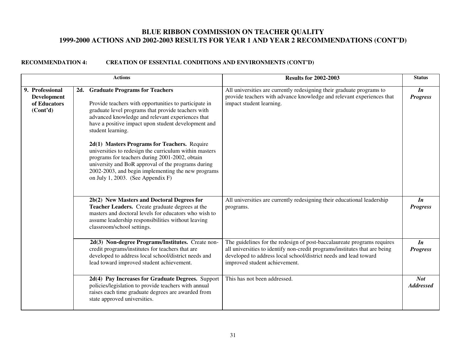|                                                                   |     | <b>Actions</b>                                                                                                                                                                                                                                                                                            | <b>Results for 2002-2003</b>                                                                                                                                                                                                                               | <b>Status</b>                   |
|-------------------------------------------------------------------|-----|-----------------------------------------------------------------------------------------------------------------------------------------------------------------------------------------------------------------------------------------------------------------------------------------------------------|------------------------------------------------------------------------------------------------------------------------------------------------------------------------------------------------------------------------------------------------------------|---------------------------------|
| 9. Professional<br><b>Development</b><br>of Educators<br>(Cont'd) | 2d. | <b>Graduate Programs for Teachers</b><br>Provide teachers with opportunities to participate in<br>graduate level programs that provide teachers with<br>advanced knowledge and relevant experiences that<br>have a positive impact upon student development and<br>student learning.                      | All universities are currently redesigning their graduate programs to<br>provide teachers with advance knowledge and relevant experiences that<br>impact student learning.                                                                                 | $\mathbf{I}$<br><b>Progress</b> |
|                                                                   |     | 2d(1) Masters Programs for Teachers. Require<br>universities to redesign the curriculum within masters<br>programs for teachers during 2001-2002, obtain<br>university and BoR approval of the programs during<br>2002-2003, and begin implementing the new programs<br>on July 1, 2003. (See Appendix F) |                                                                                                                                                                                                                                                            |                                 |
|                                                                   |     | 2b(2) New Masters and Doctoral Degrees for<br>Teacher Leaders. Create graduate degrees at the<br>masters and doctoral levels for educators who wish to<br>assume leadership responsibilities without leaving<br>classroom/school settings.                                                                | All universities are currently redesigning their educational leadership<br>programs.                                                                                                                                                                       | In<br><b>Progress</b>           |
|                                                                   |     | 2d(3) Non-degree Programs/Institutes. Create non-<br>credit programs/institutes for teachers that are<br>developed to address local school/district needs and<br>lead toward improved student achievement.                                                                                                | The guidelines for the redesign of post-baccalaureate programs requires<br>all universities to identify non-credit programs/institutes that are being<br>developed to address local school/district needs and lead toward<br>improved student achievement. | $\mathbf{I}$<br><b>Progress</b> |
|                                                                   |     | 2d(4) Pay Increases for Graduate Degrees. Support<br>policies/legislation to provide teachers with annual<br>raises each time graduate degrees are awarded from<br>state approved universities.                                                                                                           | This has not been addressed.                                                                                                                                                                                                                               | <b>Not</b><br><b>Addressed</b>  |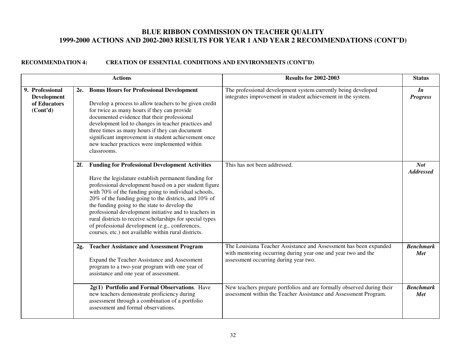| <b>Actions</b>                                                                 |     |                                                                                                                                                                                                                                                                                                                                                                                                                                                                                                                                                                              | <b>Results for 2002-2003</b>                                                                                                                                                | <b>Status</b>                   |
|--------------------------------------------------------------------------------|-----|------------------------------------------------------------------------------------------------------------------------------------------------------------------------------------------------------------------------------------------------------------------------------------------------------------------------------------------------------------------------------------------------------------------------------------------------------------------------------------------------------------------------------------------------------------------------------|-----------------------------------------------------------------------------------------------------------------------------------------------------------------------------|---------------------------------|
| 9. Professional<br><b>Development</b><br>of Educators<br>(Cont <sup>2</sup> d) |     | 2e. Bonus Hours for Professional Development<br>Develop a process to allow teachers to be given credit<br>for twice as many hours if they can provide<br>documented evidence that their professional<br>development led to changes in teacher practices and<br>three times as many hours if they can document<br>significant improvement in student achievement once<br>new teacher practices were implemented within<br>classrooms.                                                                                                                                         | The professional development system currently being developed<br>integrates improvement in student achievement in the system.                                               | $\mathbf{I}$<br><b>Progress</b> |
|                                                                                | 2f. | <b>Funding for Professional Development Activities</b><br>Have the legislature establish permanent funding for<br>professional development based on a per student figure<br>with 70% of the funding going to individual schools,<br>20% of the funding going to the districts, and 10% of<br>the funding going to the state to develop the<br>professional development initiative and to teachers in<br>rural districts to receive scholarships for special types<br>of professional development (e.g., conferences,<br>courses, etc.) not available within rural districts. | This has not been addressed.                                                                                                                                                | <b>Not</b><br><b>Addressed</b>  |
|                                                                                | 2g. | <b>Teacher Assistance and Assessment Program</b><br>Expand the Teacher Assistance and Assessment<br>program to a two-year program with one year of<br>assistance and one year of assessment.                                                                                                                                                                                                                                                                                                                                                                                 | The Louisiana Teacher Assistance and Assessment has been expanded<br>with mentoring occurring during year one and year two and the<br>assessment occurring during year two. | <b>Benchmark</b><br>Met         |
|                                                                                |     | 2g(1) Portfolio and Formal Observations. Have<br>new teachers demonstrate proficiency during<br>assessment through a combination of a portfolio<br>assessment and formal observations.                                                                                                                                                                                                                                                                                                                                                                                       | New teachers prepare portfolios and are formally observed during their<br>assessment within the Teacher Assistance and Assessment Program.                                  | <b>Benchmark</b><br>Met         |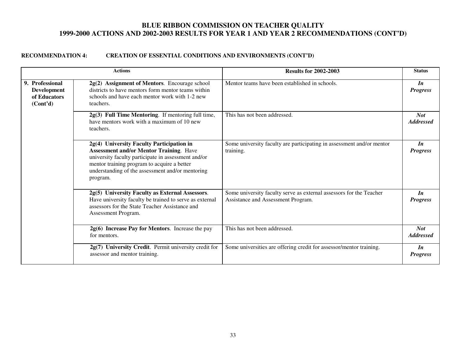|                                                                                | <b>Actions</b>                                                                                                                                                                                                                                                    | <b>Results for 2002-2003</b>                                                                              | <b>Status</b>                   |
|--------------------------------------------------------------------------------|-------------------------------------------------------------------------------------------------------------------------------------------------------------------------------------------------------------------------------------------------------------------|-----------------------------------------------------------------------------------------------------------|---------------------------------|
| 9. Professional<br><b>Development</b><br>of Educators<br>(Cont <sup>2</sup> d) | 2g(2) Assignment of Mentors. Encourage school<br>districts to have mentors form mentor teams within<br>schools and have each mentor work with 1-2 new<br>teachers.                                                                                                | Mentor teams have been established in schools.                                                            | $\mathbf{I}$<br><b>Progress</b> |
|                                                                                | 2g(3) Full Time Mentoring. If mentoring full time,<br>have mentors work with a maximum of 10 new<br>teachers.                                                                                                                                                     | This has not been addressed.                                                                              | <b>Not</b><br><b>Addressed</b>  |
|                                                                                | 2g(4) University Faculty Participation in<br><b>Assessment and/or Mentor Training. Have</b><br>university faculty participate in assessment and/or<br>mentor training program to acquire a better<br>understanding of the assessment and/or mentoring<br>program. | Some university faculty are participating in assessment and/or mentor<br>training.                        | In<br><b>Progress</b>           |
|                                                                                | 2g(5) University Faculty as External Assessors.<br>Have university faculty be trained to serve as external<br>assessors for the State Teacher Assistance and<br>Assessment Program.                                                                               | Some university faculty serve as external assessors for the Teacher<br>Assistance and Assessment Program. | In<br><b>Progress</b>           |
|                                                                                | $2g(6)$ Increase Pay for Mentors. Increase the pay<br>for mentors.                                                                                                                                                                                                | This has not been addressed.                                                                              | <b>Not</b><br><b>Addressed</b>  |
|                                                                                | 2g(7) University Credit. Permit university credit for<br>assessor and mentor training.                                                                                                                                                                            | Some universities are offering credit for assessor/mentor training.                                       | In<br><b>Progress</b>           |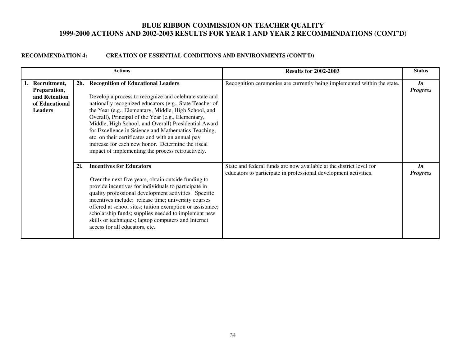| <b>Actions</b>                                                                       |     |                                                                                                                                                                                                                                                                                                                                                                                                                                                                                                                                                         | <b>Results for 2002-2003</b>                                                                                                            | <b>Status</b>                   |
|--------------------------------------------------------------------------------------|-----|---------------------------------------------------------------------------------------------------------------------------------------------------------------------------------------------------------------------------------------------------------------------------------------------------------------------------------------------------------------------------------------------------------------------------------------------------------------------------------------------------------------------------------------------------------|-----------------------------------------------------------------------------------------------------------------------------------------|---------------------------------|
| 1. Recruitment,<br>Preparation,<br>and Retention<br>of Educational<br><b>Leaders</b> |     | 2h. Recognition of Educational Leaders<br>Develop a process to recognize and celebrate state and<br>nationally recognized educators (e.g., State Teacher of<br>the Year (e.g., Elementary, Middle, High School, and<br>Overall), Principal of the Year (e.g., Elementary,<br>Middle, High School, and Overall) Presidential Award<br>for Excellence in Science and Mathematics Teaching,<br>etc. on their certificates and with an annual pay<br>increase for each new honor. Determine the fiscal<br>impact of implementing the process retroactively. | Recognition ceremonies are currently being implemented within the state.                                                                | $\mathbf{I}$<br><b>Progress</b> |
|                                                                                      | 2i. | <b>Incentives for Educators</b><br>Over the next five years, obtain outside funding to<br>provide incentives for individuals to participate in<br>quality professional development activities. Specific<br>incentives include: release time; university courses<br>offered at school sites; tuition exemption or assistance;<br>scholarship funds; supplies needed to implement new<br>skills or techniques; laptop computers and Internet<br>access for all educators, etc.                                                                            | State and federal funds are now available at the district level for<br>educators to participate in professional development activities. | $\mathbf{I}$<br><b>Progress</b> |